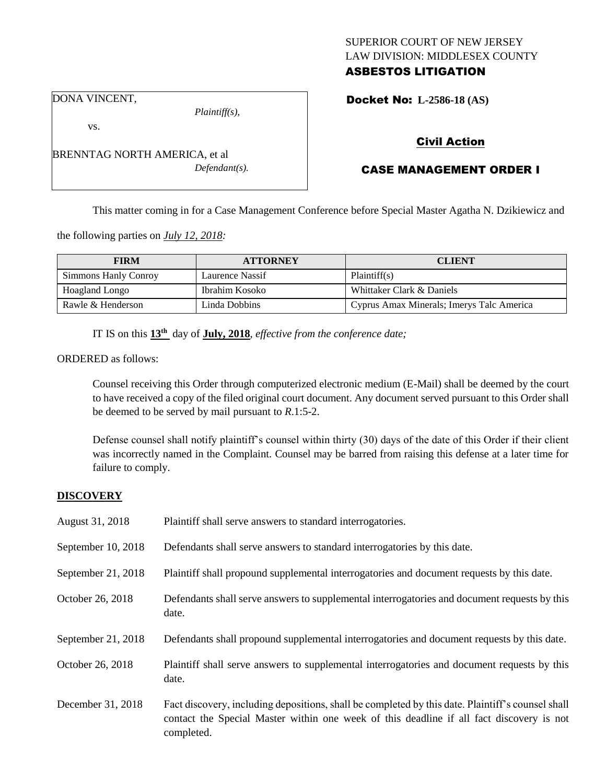## SUPERIOR COURT OF NEW JERSEY LAW DIVISION: MIDDLESEX COUNTY ASBESTOS LITIGATION

Docket No: **L-2586-18 (AS)** 

DONA VINCENT,

vs.

*Plaintiff(s),*

*Defendant(s).*

Civil Action

# CASE MANAGEMENT ORDER I

This matter coming in for a Case Management Conference before Special Master Agatha N. Dzikiewicz and

the following parties on *July 12, 2018:*

BRENNTAG NORTH AMERICA, et al

| <b>FIRM</b>          | <b>ATTORNEY</b> | <b>CLIENT</b>                             |
|----------------------|-----------------|-------------------------------------------|
| Simmons Hanly Conroy | Laurence Nassif | Plaintiff(s)                              |
| Hoagland Longo       | Ibrahim Kosoko  | Whittaker Clark & Daniels                 |
| Rawle & Henderson    | Linda Dobbins   | Cyprus Amax Minerals; Imerys Talc America |

IT IS on this **13th** day of **July, 2018**, *effective from the conference date;*

ORDERED as follows:

Counsel receiving this Order through computerized electronic medium (E-Mail) shall be deemed by the court to have received a copy of the filed original court document. Any document served pursuant to this Order shall be deemed to be served by mail pursuant to *R*.1:5-2.

Defense counsel shall notify plaintiff's counsel within thirty (30) days of the date of this Order if their client was incorrectly named in the Complaint. Counsel may be barred from raising this defense at a later time for failure to comply.

### **DISCOVERY**

| August 31, 2018    | Plaintiff shall serve answers to standard interrogatories.                                                                                                                                                  |
|--------------------|-------------------------------------------------------------------------------------------------------------------------------------------------------------------------------------------------------------|
| September 10, 2018 | Defendants shall serve answers to standard interrogatories by this date.                                                                                                                                    |
| September 21, 2018 | Plaintiff shall propound supplemental interrogatories and document requests by this date.                                                                                                                   |
| October 26, 2018   | Defendants shall serve answers to supplemental interrogatories and document requests by this<br>date.                                                                                                       |
| September 21, 2018 | Defendants shall propound supplemental interrogatories and document requests by this date.                                                                                                                  |
| October 26, 2018   | Plaintiff shall serve answers to supplemental interrogatories and document requests by this<br>date.                                                                                                        |
| December 31, 2018  | Fact discovery, including depositions, shall be completed by this date. Plaintiff's counsel shall<br>contact the Special Master within one week of this deadline if all fact discovery is not<br>completed. |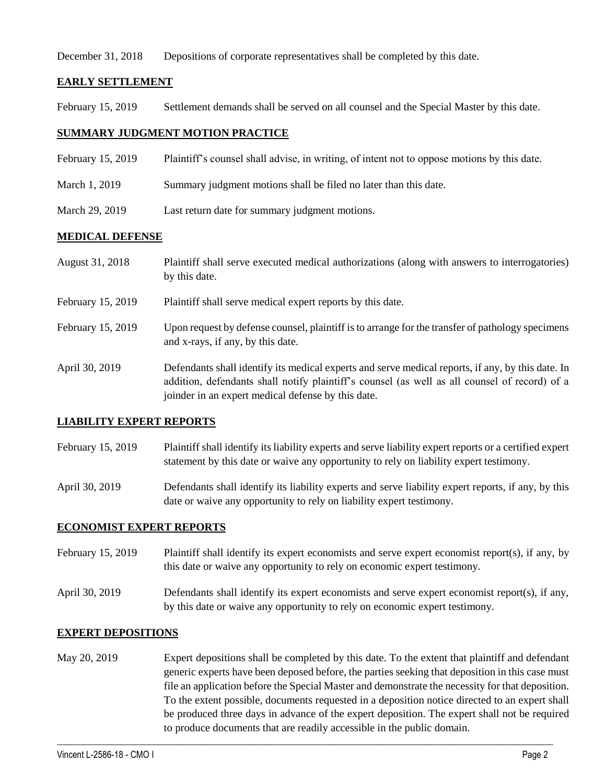December 31, 2018 Depositions of corporate representatives shall be completed by this date.

## **EARLY SETTLEMENT**

February 15, 2019 Settlement demands shall be served on all counsel and the Special Master by this date.

## **SUMMARY JUDGMENT MOTION PRACTICE**

- February 15, 2019 Plaintiff's counsel shall advise, in writing, of intent not to oppose motions by this date.
- March 1, 2019 Summary judgment motions shall be filed no later than this date.
- March 29, 2019 Last return date for summary judgment motions.

## **MEDICAL DEFENSE**

August 31, 2018 Plaintiff shall serve executed medical authorizations (along with answers to interrogatories) by this date. February 15, 2019 Plaintiff shall serve medical expert reports by this date. February 15, 2019 Upon request by defense counsel, plaintiff is to arrange for the transfer of pathology specimens and x-rays, if any, by this date. April 30, 2019 Defendants shall identify its medical experts and serve medical reports, if any, by this date. In addition, defendants shall notify plaintiff's counsel (as well as all counsel of record) of a joinder in an expert medical defense by this date.

### **LIABILITY EXPERT REPORTS**

- February 15, 2019 Plaintiff shall identify its liability experts and serve liability expert reports or a certified expert statement by this date or waive any opportunity to rely on liability expert testimony.
- April 30, 2019 Defendants shall identify its liability experts and serve liability expert reports, if any, by this date or waive any opportunity to rely on liability expert testimony.

### **ECONOMIST EXPERT REPORTS**

- February 15, 2019 Plaintiff shall identify its expert economists and serve expert economist report(s), if any, by this date or waive any opportunity to rely on economic expert testimony.
- April 30, 2019 Defendants shall identify its expert economists and serve expert economist report(s), if any, by this date or waive any opportunity to rely on economic expert testimony.

### **EXPERT DEPOSITIONS**

May 20, 2019 Expert depositions shall be completed by this date. To the extent that plaintiff and defendant generic experts have been deposed before, the parties seeking that deposition in this case must file an application before the Special Master and demonstrate the necessity for that deposition. To the extent possible, documents requested in a deposition notice directed to an expert shall be produced three days in advance of the expert deposition. The expert shall not be required to produce documents that are readily accessible in the public domain.

 $\_$  ,  $\_$  ,  $\_$  ,  $\_$  ,  $\_$  ,  $\_$  ,  $\_$  ,  $\_$  ,  $\_$  ,  $\_$  ,  $\_$  ,  $\_$  ,  $\_$  ,  $\_$  ,  $\_$  ,  $\_$  ,  $\_$  ,  $\_$  ,  $\_$  ,  $\_$  ,  $\_$  ,  $\_$  ,  $\_$  ,  $\_$  ,  $\_$  ,  $\_$  ,  $\_$  ,  $\_$  ,  $\_$  ,  $\_$  ,  $\_$  ,  $\_$  ,  $\_$  ,  $\_$  ,  $\_$  ,  $\_$  ,  $\_$  ,